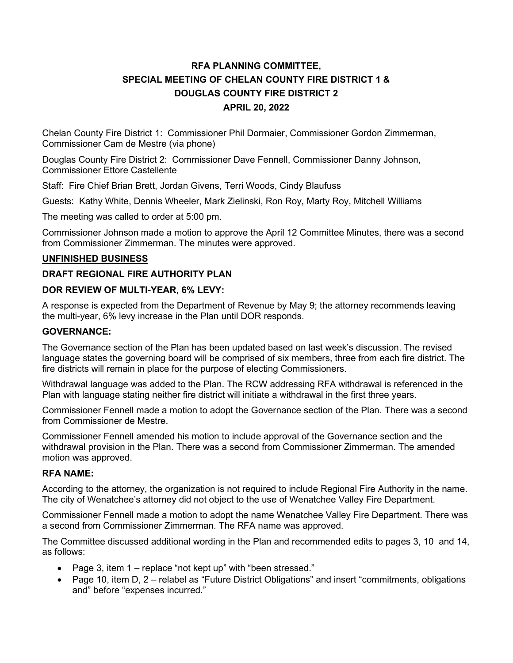# RFA PLANNING COMMITTEE, SPECIAL MEETING OF CHELAN COUNTY FIRE DISTRICT 1 & DOUGLAS COUNTY FIRE DISTRICT 2 APRIL 20, 2022

Chelan County Fire District 1: Commissioner Phil Dormaier, Commissioner Gordon Zimmerman, Commissioner Cam de Mestre (via phone)

Douglas County Fire District 2: Commissioner Dave Fennell, Commissioner Danny Johnson, Commissioner Ettore Castellente

Staff: Fire Chief Brian Brett, Jordan Givens, Terri Woods, Cindy Blaufuss

Guests: Kathy White, Dennis Wheeler, Mark Zielinski, Ron Roy, Marty Roy, Mitchell Williams

The meeting was called to order at 5:00 pm.

Commissioner Johnson made a motion to approve the April 12 Committee Minutes, there was a second from Commissioner Zimmerman. The minutes were approved.

#### UNFINISHED BUSINESS

## DRAFT REGIONAL FIRE AUTHORITY PLAN

## DOR REVIEW OF MULTI-YEAR, 6% LEVY:

A response is expected from the Department of Revenue by May 9; the attorney recommends leaving the multi-year, 6% levy increase in the Plan until DOR responds.

#### GOVERNANCE:

The Governance section of the Plan has been updated based on last week's discussion. The revised language states the governing board will be comprised of six members, three from each fire district. The fire districts will remain in place for the purpose of electing Commissioners.

Withdrawal language was added to the Plan. The RCW addressing RFA withdrawal is referenced in the Plan with language stating neither fire district will initiate a withdrawal in the first three years.

Commissioner Fennell made a motion to adopt the Governance section of the Plan. There was a second from Commissioner de Mestre.

Commissioner Fennell amended his motion to include approval of the Governance section and the withdrawal provision in the Plan. There was a second from Commissioner Zimmerman. The amended motion was approved.

## RFA NAME:

According to the attorney, the organization is not required to include Regional Fire Authority in the name. The city of Wenatchee's attorney did not object to the use of Wenatchee Valley Fire Department.

Commissioner Fennell made a motion to adopt the name Wenatchee Valley Fire Department. There was a second from Commissioner Zimmerman. The RFA name was approved.

The Committee discussed additional wording in the Plan and recommended edits to pages 3, 10 and 14, as follows:

- Page 3, item 1 replace "not kept up" with "been stressed."
- Page 10, item D, 2 relabel as "Future District Obligations" and insert "commitments, obligations and" before "expenses incurred."